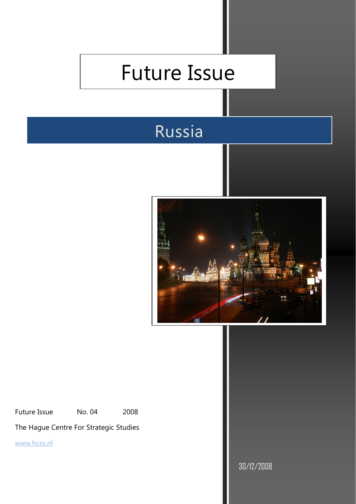# Future Issue

## Russia



Future Issue Mo. 04 2008

The Hague Centre For Strategic Studies

www.hcss.nl

30/12/2008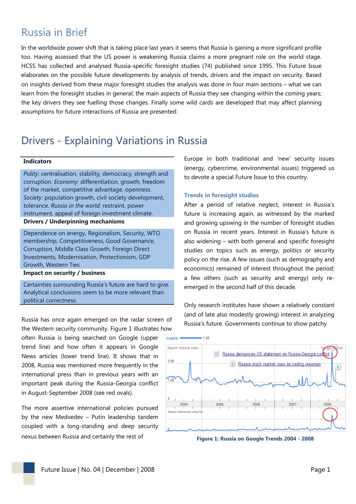## Russia in Brief

In the worldwide power shift that is taking place last years it seems that Russia is gaining a more significant profile too. Having assessed that the US power is weakening Russia claims a more pregnant role on the world stage. HCSS has collected and analysed Russia-specific foresight studies (74) published since 1995. This Future Issue elaborates on the possible future developments by analysis of trends, drivers and the impact on security. Based on insights derived from these major foresight studies the analysis was done in four main sections – what we can learn from the foresight studies in general; the main aspects of Russia they see changing within the coming years; the key drivers they see fuelling those changes. Finally some wild cards are developed that may affect planning assumptions for future interactions of Russia are presented.

### Drivers - Explaining Variations in Russia

#### **Indicators**

*Polity*: centralisation, stability, democracy, strength and corruption. *Economy*: differentiation, growth, freedom of the market, competitive advantage, openness. *Society*: population growth, civil society development, tolerance. *Russia in the world*: restraint, power instrument, appeal of foreign investment climate. **Drivers / Underpinning mechanisms** 

Dependence on energy, Regionalism, Security, WTO membership, Competitiveness, Good Governance, Corruption, Middle Class Growth, Foreign Direct Investments, Modernisation, Protectionism, GDP Growth, Western Ties

#### **Impact on security / business**

Certainties surrounding Russia's future are hard to give. Analytical conclusions seem to be more relevant than political correctness.

Russia has once again emerged on the radar screen of the Western security community. Figure 1 illustrates how often Russia is being searched on Google (upper trend line) and how often it appears in Google News articles (lower trend line). It shows that in 2008, Russia was mentioned more frequently in the international press than in previous years with an important peak during the Russia-Georgia conflict in August-September 2008 (see red ovals).

The more assertive international policies pursued by the new Medvedev – Putin leadership tandem coupled with a long-standing and deep security nexus between Russia and certainly the rest of

Europe in both traditional and 'new' security issues (energy, cybercrime, environmental issues) triggered us to devote a special Future Issue to this country.

#### **Trends in foresight studies**

After a period of relative neglect, interest in Russia's future is increasing again, as witnessed by the marked and growing upswing in the number of foresight studies on Russia in recent years. Interest in Russia's future is also widening – with both general and specific foresight studies on topics such as energy, politics or security policy on the rise. A few issues (such as demography and economics) remained of interest throughout the period; a few others (such as security and energy) only reemerged in the second half of this decade.

Only research institutes have shown a relatively constant (and of late also modestly growing) interest in analyzing Russia's future. Governments continue to show patchy



**Figure 1: Russia on Google Trends 2004 - 2008**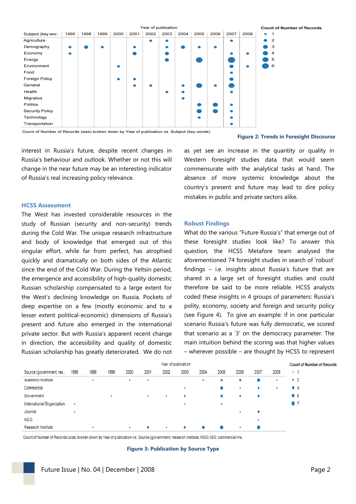|                        | Year of publication |      |      |      |           |      |      |      |      |           |           |           |           | <b>Count of Number of Records</b> |  |  |  |  |
|------------------------|---------------------|------|------|------|-----------|------|------|------|------|-----------|-----------|-----------|-----------|-----------------------------------|--|--|--|--|
| Subject (key wor       | 1995                | 1998 | 1999 | 2000 | 2001      | 2002 | 2003 | 2004 | 2005 | 2006      | 2007      | 2008      | $\bullet$ | $\mathbf{1}$                      |  |  |  |  |
| Agriculture            |                     |      |      |      |           | o    |      |      |      |           | $\bullet$ |           | $\bullet$ | $\overline{2}$                    |  |  |  |  |
| Demography             | $\bullet$           |      |      |      | $\bullet$ |      |      |      |      | $\bullet$ |           |           |           | 3                                 |  |  |  |  |
| Economy                | $\bullet$           |      |      |      |           |      |      |      |      |           |           | $\bullet$ |           | $\overline{a}$                    |  |  |  |  |
| Energy                 |                     |      |      |      |           |      |      |      |      |           |           |           |           | 5                                 |  |  |  |  |
| Environment            |                     |      |      |      |           |      |      |      |      |           |           | $\bullet$ |           | 6                                 |  |  |  |  |
| Food                   |                     |      |      |      |           |      |      |      |      |           | $\bullet$ |           |           |                                   |  |  |  |  |
| Foreign Policy         |                     |      |      |      |           |      |      |      |      |           |           |           |           |                                   |  |  |  |  |
| General                |                     |      |      |      | ۰         |      |      |      |      |           |           |           |           |                                   |  |  |  |  |
| Health                 |                     |      |      |      |           |      |      |      |      |           | $\bullet$ |           |           |                                   |  |  |  |  |
| Migration              |                     |      |      |      |           |      |      | e    |      |           |           |           |           |                                   |  |  |  |  |
| Politics               |                     |      |      |      |           |      |      |      |      |           |           |           |           |                                   |  |  |  |  |
| <b>Security Policy</b> |                     |      |      |      |           |      |      |      |      |           | $\bullet$ |           |           |                                   |  |  |  |  |
| Technology             |                     |      |      |      |           |      |      |      |      |           | $\bullet$ |           |           |                                   |  |  |  |  |
| Transportation         |                     |      |      |      |           |      |      |      |      |           |           |           |           |                                   |  |  |  |  |

Count of Number of Records (size) broken down by Year of publication vs. Subject (key words).

interest in Russia's future, despite recent changes in Russia's behaviour and outlook. Whether or not this will change in the near future may be an interesting indicator of Russia's real increasing policy relevance.

#### **HCSS Assessment**

The West has invested considerable resources in the study of Russian (security and non-security) trends during the Cold War. The unique research infrastructure and body of knowledge that emerged out of this singular effort, while far from perfect, has atrophied quickly and dramatically on both sides of the Atlantic since the end of the Cold War. During the Yeltsin period, the emergence and accessibility of high-quality domestic Russian scholarship compensated to a large extent for the West's declining knowledge on Russia. Pockets of deep expertise on a few (mostly economic and to a lesser extent political-economic) dimensions of Russia's present and future also emerged in the international private sector. But with Russia's apparent recent change in direction, the accessibility and quality of domestic Russian scholarship has greatly deteriorated. We do not

as yet see an increase in the quantity or quality in Western foresight studies data that would seem commensurate with the analytical tasks at hand. The absence of more systemic knowledge about the country's present and future may lead to dire policy mistakes in public and private sectors alike.

**Figure 2: Trends in Foresight Discourse**

#### **Robust Findings**

What do the various "Future Russia's" that emerge out of these foresight studies look like? To answer this question, the HCSS Metafore team analysed the aforementioned 74 foresight studies in search of 'robust' findings – i.e. insights about Russia's future that are shared in a large set of foresight studies and could therefore be said to be more reliable. HCSS analysts coded these insights in 4 groups of parameters: Russia's polity, economy, society and foreign and security policy (see Figure 4). To give an example: if in one particular scenario Russia's future was fully democratic, we scored that scenario as a '3' on the democracy parameter. The main intuition behind the scoring was that higher values – wherever possible – are thought by HCSS to represent

| Year of publication        |      |          |      |      |      |      |      |      |      |      |      |      | <b>Count of Number of Records</b> |  |  |
|----------------------------|------|----------|------|------|------|------|------|------|------|------|------|------|-----------------------------------|--|--|
| Source (government; res    | 1995 | 1996     | 1999 | 2000 | 2001 | 2002 | 2003 | 2004 | 2005 | 2006 | 2007 | 2008 | * 1                               |  |  |
| Academic Institute         |      | <b>B</b> |      | 18   | ٠    |      |      |      | ۰    | ۰    |      |      | $^{\circ}$ 2                      |  |  |
| Commercial                 |      |          |      |      |      |      | ٠    |      |      | B    | ٠    | ۰    | . .                               |  |  |
| Government                 |      |          | ٠    |      | ٠    |      | ٠    |      | ٠    | ۰    | ٠    |      | . .                               |  |  |
| International Organization | ٠    |          |      |      |      |      | ٠    |      | ٠    |      |      |      |                                   |  |  |
| Journal                    | ٠    |          |      |      |      |      |      |      |      | ٠    | ۰    |      |                                   |  |  |
| <b>NGO</b>                 |      |          |      |      |      |      |      |      |      |      |      |      |                                   |  |  |
| Research Institute         |      |          |      |      | ۰    |      | ٠    | ۰    |      | ÷    |      |      |                                   |  |  |

Count of Number of Records (size) broken down by Year of publication vs. Source (government; research institute; NGO; IGO; commercial ins.

**Figure 3: Publication by Source Type**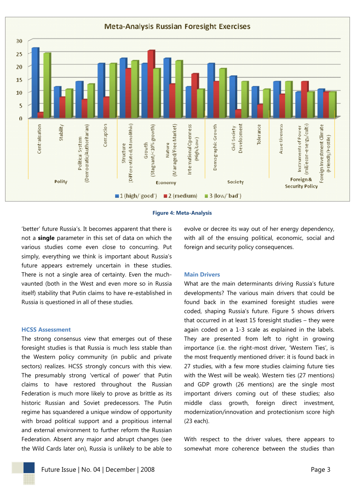

#### **Figure 4: Meta-Analysis**

'better' future Russia's. It becomes apparent that there is not a **single** parameter in this set of data on which the various studies come even close to concurring. Put simply, everything we think is important about Russia's future appears extremely uncertain in these studies. There is not a single area of certainty. Even the muchvaunted (both in the West and even more so in Russia itself) stability that Putin claims to have re-established in Russia is questioned in all of these studies.

#### **HCSS Assessment**

The strong consensus view that emerges out of these foresight studies is that Russia is much less stable than the Western policy community (in public and private sectors) realizes. HCSS strongly concurs with this view. The presumably strong 'vertical of power' that Putin claims to have restored throughout the Russian Federation is much more likely to prove as brittle as its historic Russian and Soviet predecessors. The Putin regime has squandered a unique window of opportunity with broad political support and a propitious internal and external environment to further reform the Russian Federation. Absent any major and abrupt changes (see the Wild Cards later on), Russia is unlikely to be able to evolve or decree its way out of her energy dependency, with all of the ensuing political, economic, social and foreign and security policy consequences.

#### **Main Drivers**

What are the main determinants driving Russia's future developments? The various main drivers that could be found back in the examined foresight studies were coded, shaping Russia's future. Figure 5 shows drivers that occurred in at least 15 foresight studies  $-$  they were again coded on a 1-3 scale as explained in the labels. They are presented from left to right in growing importance (i.e. the right-most driver, 'Western Ties', is the most frequently mentioned driver: it is found back in 27 studies, with a few more studies claiming future ties with the West will be weak). Western ties (27 mentions) and GDP growth (26 mentions) are the single most important drivers coming out of these studies; also middle class growth, foreign direct investment, modernization/innovation and protectionism score high (23 each).

With respect to the driver values, there appears to somewhat more coherence between the studies than

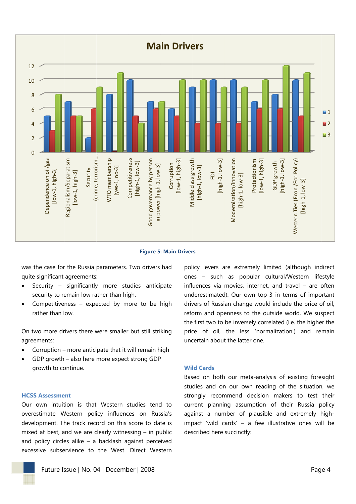

**Figure 5: Main Drivers** 

was the case for the Russia parameters. Two drivers had quite significant agreements:

- Security significantly more studies anticipate  $\bullet$ security to remain low rather than high.
- Competitiveness expected by more to be high rather than low.

On two more drivers there were smaller but still striking agreements:

- Corruption more anticipate that it will remain high
- GDP growth also here more expect strong GDP  $\ddot{\phantom{a}}$ growth to continue.

#### **HCSS Assessment**

Our own intuition is that Western studies tend to overestimate Western policy influences on Russia's development. The track record on this score to date is mixed at best, and we are clearly witnessing  $-$  in public and policy circles alike  $-$  a backlash against perceived excessive subservience to the West. Direct Western policy levers are extremely limited (although indirect ones - such as popular cultural/Western lifestyle influences via movies, internet, and travel  $-$  are often underestimated). Our own top-3 in terms of important drivers of Russian change would include the price of oil, reform and openness to the outside world. We suspect the first two to be inversely correlated (i.e. the higher the price of oil, the less 'normalization') and remain uncertain about the latter one.

#### **Wild Cards**

Based on both our meta-analysis of existing foresight studies and on our own reading of the situation, we strongly recommend decision makers to test their current planning assumption of their Russia policy against a number of plausible and extremely highimpact 'wild cards' - a few illustrative ones will be described here succinctly:

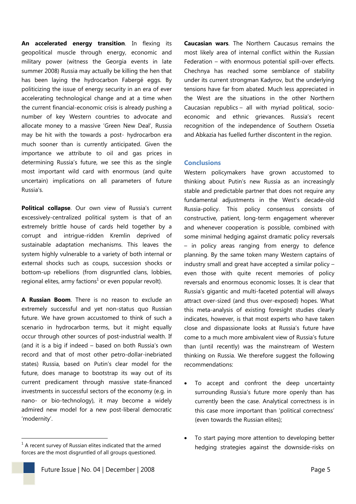**An accelerated energy transition**. In flexing its geopolitical muscle through energy, economic and military power (witness the Georgia events in late summer 2008) Russia may actually be killing the hen that has been laying the hydrocarbon Fabergé eggs. By politicizing the issue of energy security in an era of ever accelerating technological change and at a time when the current financial-economic crisis is already pushing a number of key Western countries to advocate and allocate money to a massive 'Green New Deal', Russia may be hit with the towards a post- hydrocarbon era much sooner than is currently anticipated. Given the importance we attribute to oil and gas prices in determining Russia's future, we see this as the single most important wild card with enormous (and quite uncertain) implications on all parameters of future Russia's.

**Political collapse**. Our own view of Russia's current excessively-centralized political system is that of an extremely brittle house of cards held together by a corrupt and intrigue-ridden Kremlin deprived of sustainable adaptation mechanisms. This leaves the system highly vulnerable to a variety of both internal or external shocks such as coups, succession shocks or bottom-up rebellions (from disgruntled clans, lobbies, regional elites, army factions<sup>1</sup> or even popular revolt).

**A Russian Boom**. There is no reason to exclude an extremely successful and yet non-status quo Russian future. We have grown accustomed to think of such a scenario in hydrocarbon terms, but it might equally occur through other sources of post-industrial wealth. If (and it is a big if indeed – based on both Russia's own record and that of most other petro-dollar-inebriated states) Russia, based on Putin's clear model for the future, does manage to bootstrap its way out of its current predicament through massive state-financed investments in successful sectors of the economy (e.g. in nano- or bio-technology), it may become a widely admired new model for a new post-liberal democratic 'modernity'.

-

**Caucasian wars**. The Northern Caucasus remains the most likely area of internal conflict within the Russian Federation – with enormous potential spill-over effects. Chechnya has reached some semblance of stability under its current strongman Kadyrov, but the underlying tensions have far from abated. Much less appreciated in the West are the situations in the other Northern Caucasian republics – all with myriad political, socioeconomic and ethnic grievances. Russia's recent recognition of the independence of Southern Ossetia and Abkazia has fuelled further discontent in the region.

#### **Conclusions**

Western policymakers have grown accustomed to thinking about Putin's new Russia as an increasingly stable and predictable partner that does not require any fundamental adjustments in the West's decade-old Russia-policy. This policy consensus consists of constructive, patient, long-term engagement wherever and whenever cooperation is possible, combined with some minimal hedging against dramatic policy reversals – in policy areas ranging from energy to defence planning. By the same token many Western captains of industry small and great have accepted a similar policy – even those with quite recent memories of policy reversals and enormous economic losses. It is clear that Russia's gigantic and multi-faceted potential will always attract over-sized (and thus over-exposed) hopes. What this meta-analysis of existing foresight studies clearly indicates, however, is that most experts who have taken close and dispassionate looks at Russia's future have come to a much more ambivalent view of Russia's future than (until recently) was the mainstream of Western thinking on Russia. We therefore suggest the following recommendations:

- To accept and confront the deep uncertainty surrounding Russia's future more openly than has currently been the case. Analytical correctness is in this case more important than 'political correctness' (even towards the Russian elites);
- To start paying more attention to developing better hedging strategies against the downside-risks on

 $1$  A recent survey of Russian elites indicated that the armed forces are the most disgruntled of all groups questioned.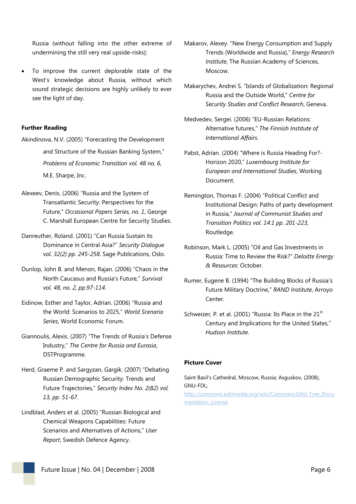Russia (without falling into the other extreme of undermining the still very real upside-risks);

 To improve the current deplorable state of the West's knowledge about Russia, without which sound strategic decisions are highly unlikely to ever see the light of day.

#### **Further Reading**

Akindinova, N.V. (2005) "Forecasting the Development and Structure of the Russian Banking System," *Problems of Economic Transition vol. 48 no. 6*, M.E. Sharpe, Inc.

- Alexeev, Denis. (2006) "Russia and the System of Transatlantic Security: Perspectives for the Future," *Occasional Papers Series, no. 1*, George C. Marshall European Centre for Security Studies.
- Danreuther, Roland. (2001) "Can Russia Sustain its Dominance in Central Asia?" *Security Dialogue vol. 32(2) pp. 245-258*. Sage Publications, Oslo.
- Dunlop, John B. and Menon, Rajan. (2006) "Chaos in the North Caucasus and Russia's Future," *Survival vol. 48, no. 2, pp.97-114*.
- Eidinow, Esther and Taylor, Adrian. (2006) "Russia and the World: Scenarios to 2025," *World Scenario Series*, World Economic Forum.
- Giannoulis, Alexis. (2007) "The Trends of Russia's Defense Industry," *The Centre for Russia and Eurasia*, DSTProgramme.
- Herd, Graeme P. and Sargyzan, Gargik. (2007) "Debating Russian Demographic Security: Trends and Future Trajectories," *Security Index No. 2(82) vol. 13, pp. 51-67*.
- Lindblad, Anders et al. (2005) "Russian Biological and Chemical Weapons Capabilities: Future Scenarios and Alternatives of Actions," *User Report*, Swedish Defence Agency.
- Makarov, Alexey. "New Energy Consumption and Supply Trends (Worldwide and Russia)," *Energy Research Institute*, The Russian Academy of Sciences, Moscow.
- Makarychev, Andrei S. "Islands of Globalization: Regional Russia and the Outside World," *Centre for Security Studies and Conflict Research*, Geneva.
- Medvedev, Sergei. (2006) "EU-Russian Relations: Alternative futures," *The Finnish Institute of International Affairs*.
- Pabst, Adrian. (2004) "Where is Russia Heading For?- Horizon 2020," *Luxembourg Institute for European and International Studies*, Working Document.
- Remington, Thomas F. (2004) "Political Conflict and Institutional Design: Paths of party development in Russia," *Journal of Communist Studies and Transition Politics vol. 14:1 pp. 201-223*, Routledge.
- Robinson, Mark L. (2005) "Oil and Gas Investments in Russia: Time to Review the Risk?" *Deloitte Energy & Resources*: October.
- Rumer, Eugene B. (1994) "The Building Blocks of Russia's Future Military Doctrine," *RAND Institute*, Arroyo Center.
- Schweizer, P. et al. (2001) "Russia: Its Place in the 21<sup>st</sup> Century and Implications for the United States," *Hudson Institute*.

#### **Picture Cover**

Saint Basil's Cathedral, Moscow, Russia; Asguskov, (2008), GNU-FDL; http://commons.wikimedia.org/wiki/Commons:GNU\_Free\_Docu mentation License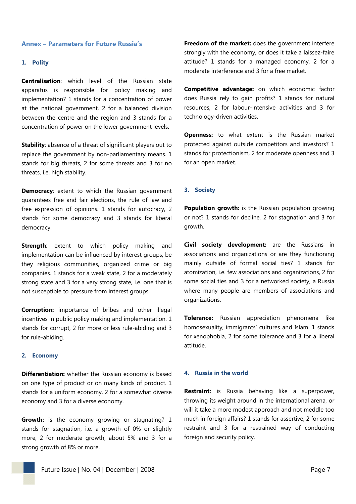#### **Annex – Parameters for Future Russia's**

#### **1. Polity**

**Centralisation**: which level of the Russian state apparatus is responsible for policy making and implementation? 1 stands for a concentration of power at the national government, 2 for a balanced division between the centre and the region and 3 stands for a concentration of power on the lower government levels.

**Stability**: absence of a threat of significant players out to replace the government by non-parliamentary means. 1 stands for big threats, 2 for some threats and 3 for no threats, i.e. high stability.

**Democracy:** extent to which the Russian government guarantees free and fair elections, the rule of law and free expression of opinions. 1 stands for autocracy, 2 stands for some democracy and 3 stands for liberal democracy.

**Strength**: extent to which policy making and implementation can be influenced by interest groups, be they religious communities, organized crime or big companies. 1 stands for a weak state, 2 for a moderately strong state and 3 for a very strong state, i.e. one that is not susceptible to pressure from interest groups.

**Corruption:** importance of bribes and other illegal incentives in public policy making and implementation. 1 stands for corrupt, 2 for more or less rule-abiding and 3 for rule-abiding.

#### **2. Economy**

**Differentiation:** whether the Russian economy is based on one type of product or on many kinds of product. 1 stands for a uniform economy, 2 for a somewhat diverse economy and 3 for a diverse economy.

**Growth:** is the economy growing or stagnating? 1 stands for stagnation, i.e. a growth of 0% or slightly more, 2 for moderate growth, about 5% and 3 for a strong growth of 8% or more.

**Freedom of the market:** does the government interfere strongly with the economy, or does it take a laissez-faire attitude? 1 stands for a managed economy, 2 for a moderate interference and 3 for a free market.

**Competitive advantage:** on which economic factor does Russia rely to gain profits? 1 stands for natural resources, 2 for labour-intensive activities and 3 for technology-driven activities.

**Openness:** to what extent is the Russian market protected against outside competitors and investors? 1 stands for protectionism, 2 for moderate openness and 3 for an open market.

#### **3. Society**

**Population growth:** is the Russian population growing or not? 1 stands for decline, 2 for stagnation and 3 for growth.

**Civil society development:** are the Russians in associations and organizations or are they functioning mainly outside of formal social ties? 1 stands for atomization, i.e. few associations and organizations, 2 for some social ties and 3 for a networked society, a Russia where many people are members of associations and organizations.

**Tolerance:** Russian appreciation phenomena like homosexuality, immigrants' cultures and Islam. 1 stands for xenophobia, 2 for some tolerance and 3 for a liberal attitude.

#### **4. Russia in the world**

**Restraint:** is Russia behaving like a superpower, throwing its weight around in the international arena, or will it take a more modest approach and not meddle too much in foreign affairs? 1 stands for assertive, 2 for some restraint and 3 for a restrained way of conducting foreign and security policy.